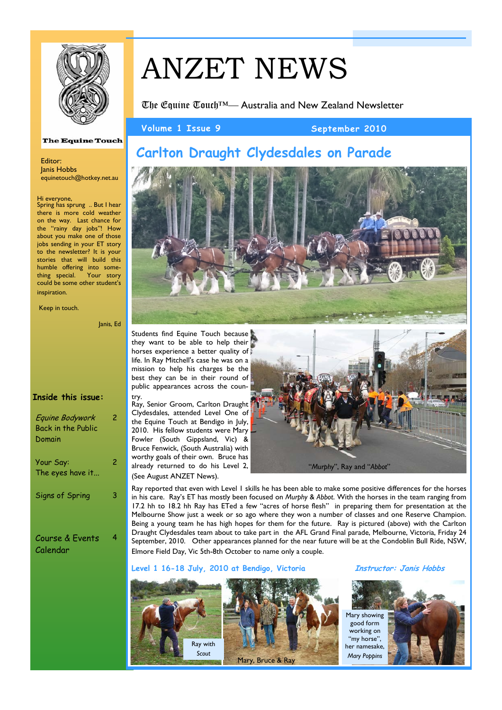

# ANZET NEWS

The Equine Touch™— Australia and New Zealand Newsletter

Volume 1 Issue 9 September 2010

## **Carlton Draught Clydesdales on Parade**



Students find Equine Touch because they want to be able to help their horses experience a better quality of life. In Ray Mitchell's case he was on a mission to help his charges be the best they can be in their round of public appearances across the coun-

try. Ray, Senior Groom, Carlton Draught Clydesdales, attended Level One of the Equine Touch at Bendigo in July, 2010. His fellow students were Mary Fowler (South Gippsland, Vic) & Bruce Fenwick, (South Australia) with worthy goals of their own. Bruce has already returned to do his Level 2, (See August ANZET News).



Ray reported that even with Level 1 skills he has been able to make some positive differences for the horses in his care. Ray's ET has mostly been focused on *Murphy* & *Abbot*. With the horses in the team ranging from 17.2 hh to 18.2 hh Ray has ETed a few "acres of horse flesh" in preparing them for presentation at the Melbourne Show just a week or so ago where they won a number of classes and one Reserve Champion. Being a young team he has high hopes for them for the future. Ray is pictured (above) with the Carlton Draught Clydesdales team about to take part in the AFL Grand Final parade, Melbourne, Victoria, Friday 24 September, 2010. Other appearances planned for the near future will be at the Condoblin Bull Ride, NSW, Elmore Field Day, Vic 5th-8th October to name only a couple.

**Level 1 16-18 July, 2010 at Bendigo, Victoria Instructor: Janis Hobbs**





**The Equine Touch** 

Editor: Janis Hobbs equinetouch@hotkey.net.au

#### Hi everyone,

Spring has sprung .. But I hear there is more cold weather on the way. Last chance for the "rainy day jobs"! How about you make one of those jobs sending in your ET story to the newsletter? It is your stories that will build this humble offering into something special. Your story could be some other student's inspiration.

Keep in touch.

Janis, Ed

#### **Inside this issue:**

| Equine Bodywork<br><b>Back in the Public</b><br>Domain | 2 |
|--------------------------------------------------------|---|
| Your Say:<br>The eyes have it                          | 2 |
| Signs of Spring                                        |   |
| Course & Events                                        |   |

Course & Events Calendar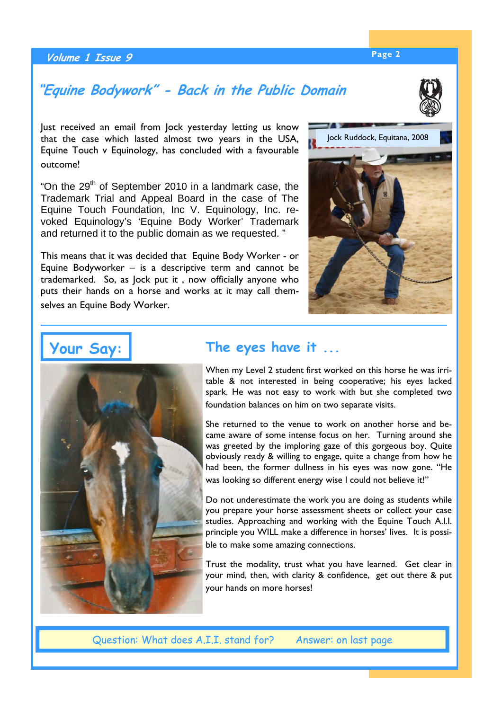## **Page 2 Volume 1 Issue 9**

## **"Equine Bodywork" - Back in the Public Domain**

Just received an email from Jock yesterday letting us know that the case which lasted almost two years in the USA, Equine Touch v Equinology, has concluded with a favourable outcome!

"On the  $29<sup>th</sup>$  of September 2010 in a landmark case, the Trademark Trial and Appeal Board in the case of The Equine Touch Foundation, Inc V. Equinology, Inc. revoked Equinology's 'Equine Body Worker' Trademark and returned it to the public domain as we requested. "

This means that it was decided that Equine Body Worker - or Equine Bodyworker – is a descriptive term and cannot be trademarked. So, as Jock put it , now officially anyone who puts their hands on a horse and works at it may call themselves an Equine Body Worker.

## **The eyes have it ...**

When my Level 2 student first worked on this horse he was irritable & not interested in being cooperative; his eyes lacked spark. He was not easy to work with but she completed two foundation balances on him on two separate visits.

She returned to the venue to work on another horse and became aware of some intense focus on her. Turning around she was greeted by the imploring gaze of this gorgeous boy. Quite obviously ready & willing to engage, quite a change from how he had been, the former dullness in his eyes was now gone. "He was looking so different energy wise I could not believe it!"

Do not underestimate the work you are doing as students while you prepare your horse assessment sheets or collect your case studies. Approaching and working with the Equine Touch A.I.I. principle you WILL make a difference in horses' lives. It is possible to make some amazing connections.

Trust the modality, trust what you have learned. Get clear in your mind, then, with clarity & confidence, get out there & put your hands on more horses!

Question: What does A.I.I. stand for? Answer: on last page







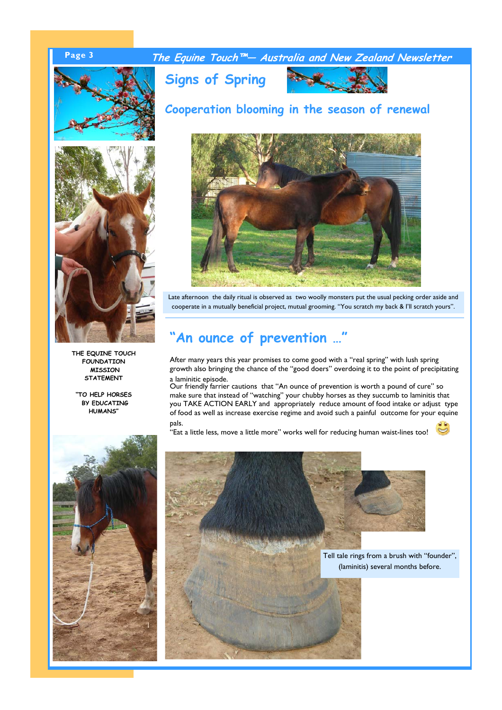## **Page 3 The Equine Touch™— Australia and New Zealand Newsletter**



**THE EQUINE TOUCH FOUNDATION MISSION STATEMENT** 

**"TO HELP HORSES BY EDUCATING HUMANS"** 





Late afternoon the daily ritual is observed as two woolly monsters put the usual pecking order aside and cooperate in a mutually beneficial project, mutual grooming. "You scratch my back & I'll scratch yours".

## **"An ounce of prevention …"**

After many years this year promises to come good with a "real spring" with lush spring growth also bringing the chance of the "good doers" overdoing it to the point of precipitating a laminitic episode.

Our friendly farrier cautions that "An ounce of prevention is worth a pound of cure" so make sure that instead of "watching" your chubby horses as they succumb to laminitis that you TAKE ACTION EARLY and appropriately reduce amount of food intake or adjust type of food as well as increase exercise regime and avoid such a painful outcome for your equine pals.

.<br>"Eat a little less, move a little more" works well for reducing human waist-lines too!